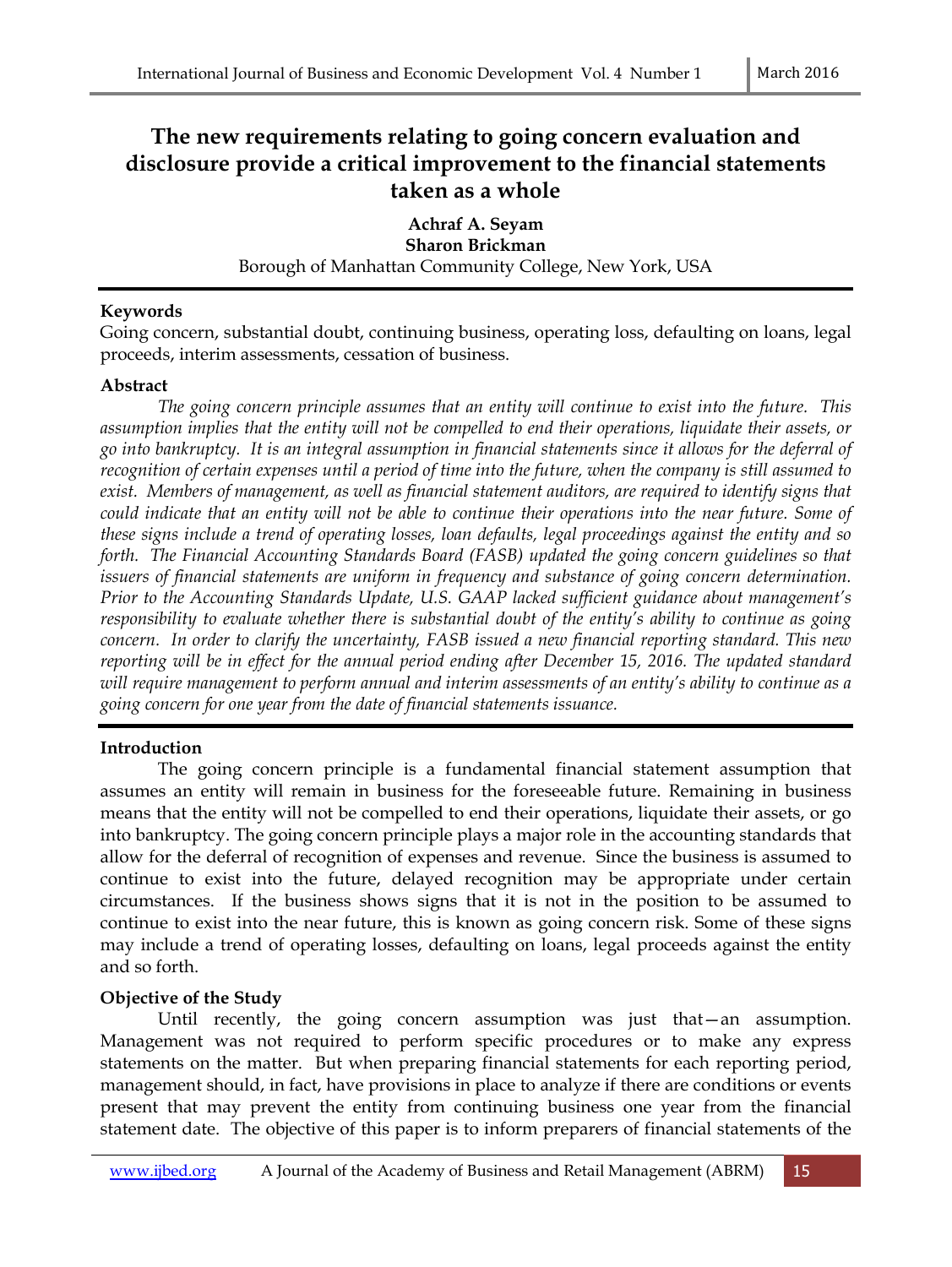# **The new requirements relating to going concern evaluation and disclosure provide a critical improvement to the financial statements taken as a whole**

**Achraf A. Seyam Sharon Brickman**  Borough of Manhattan Community College, New York, USA

### **Keywords**

Going concern, substantial doubt, continuing business, operating loss, defaulting on loans, legal proceeds, interim assessments, cessation of business.

### **Abstract**

 *The going concern principle assumes that an entity will continue to exist into the future. This assumption implies that the entity will not be compelled to end their operations, liquidate their assets, or go into bankruptcy. It is an integral assumption in financial statements since it allows for the deferral of recognition of certain expenses until a period of time into the future, when the company is still assumed to exist. Members of management, as well as financial statement auditors, are required to identify signs that could indicate that an entity will not be able to continue their operations into the near future. Some of these signs include a trend of operating losses, loan defaults, legal proceedings against the entity and so forth. The Financial Accounting Standards Board (FASB) updated the going concern guidelines so that issuers of financial statements are uniform in frequency and substance of going concern determination. Prior to the Accounting Standards Update, U.S. GAAP lacked sufficient guidance about management's responsibility to evaluate whether there is substantial doubt of the entity's ability to continue as going concern. In order to clarify the uncertainty, FASB issued a new financial reporting standard. This new reporting will be in effect for the annual period ending after December 15, 2016. The updated standard will require management to perform annual and interim assessments of an entity's ability to continue as a going concern for one year from the date of financial statements issuance.* 

# **Introduction**

The going concern principle is a fundamental financial statement assumption that assumes an entity will remain in business for the foreseeable future. Remaining in business means that the entity will not be compelled to end their operations, liquidate their assets, or go into bankruptcy. The going concern principle plays a major role in the accounting standards that allow for the deferral of recognition of expenses and revenue. Since the business is assumed to continue to exist into the future, delayed recognition may be appropriate under certain circumstances. If the business shows signs that it is not in the position to be assumed to continue to exist into the near future, this is known as going concern risk. Some of these signs may include a trend of operating losses, defaulting on loans, legal proceeds against the entity and so forth.

# **Objective of the Study**

Until recently, the going concern assumption was just that—an assumption. Management was not required to perform specific procedures or to make any express statements on the matter. But when preparing financial statements for each reporting period, management should, in fact, have provisions in place to analyze if there are conditions or events present that may prevent the entity from continuing business one year from the financial statement date. The objective of this paper is to inform preparers of financial statements of the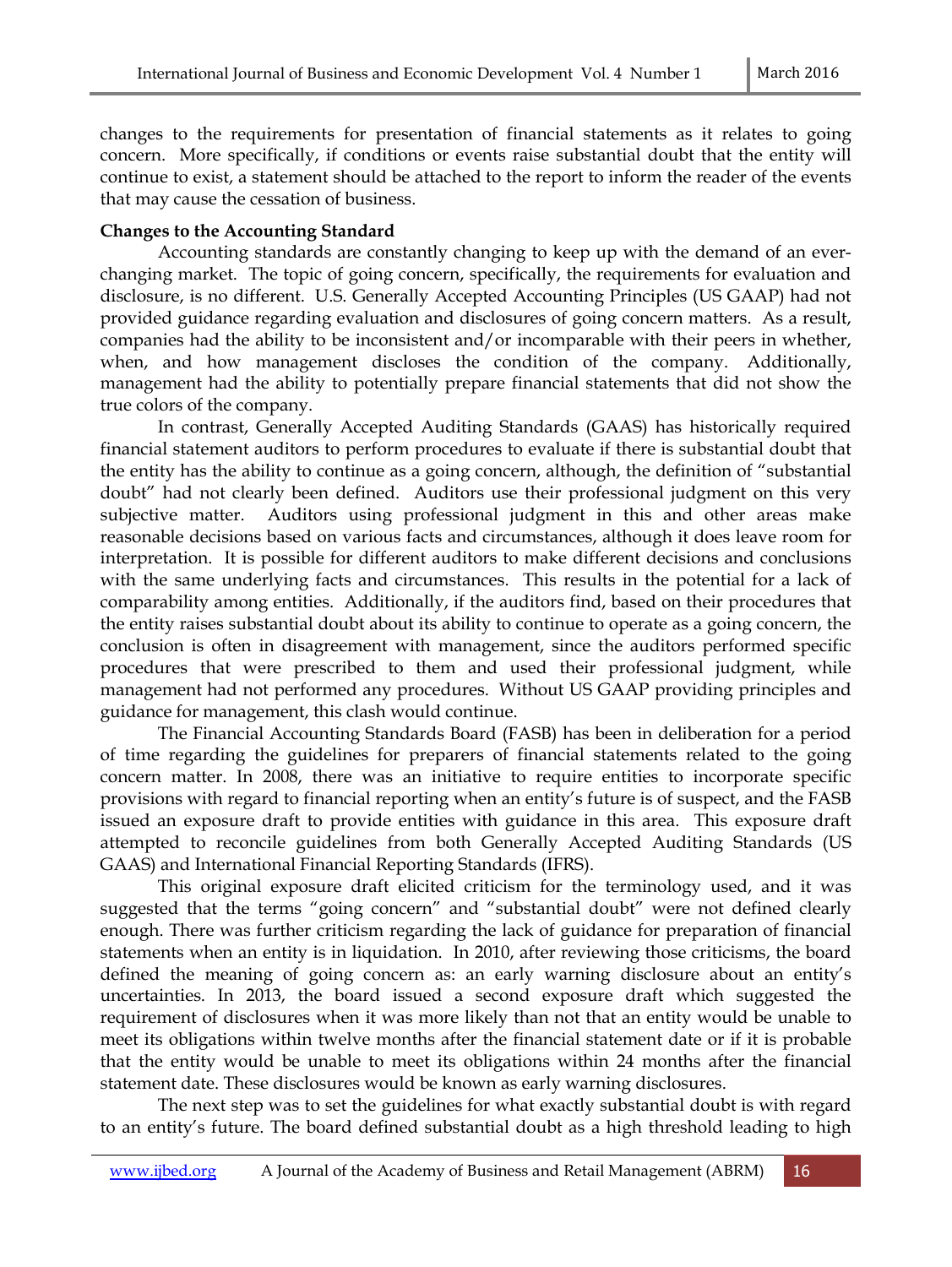changes to the requirements for presentation of financial statements as it relates to going concern. More specifically, if conditions or events raise substantial doubt that the entity will continue to exist, a statement should be attached to the report to inform the reader of the events that may cause the cessation of business.

### **Changes to the Accounting Standard**

Accounting standards are constantly changing to keep up with the demand of an everchanging market. The topic of going concern, specifically, the requirements for evaluation and disclosure, is no different. U.S. Generally Accepted Accounting Principles (US GAAP) had not provided guidance regarding evaluation and disclosures of going concern matters. As a result, companies had the ability to be inconsistent and/or incomparable with their peers in whether, when, and how management discloses the condition of the company. Additionally, management had the ability to potentially prepare financial statements that did not show the true colors of the company.

In contrast, Generally Accepted Auditing Standards (GAAS) has historically required financial statement auditors to perform procedures to evaluate if there is substantial doubt that the entity has the ability to continue as a going concern, although, the definition of "substantial doubt" had not clearly been defined. Auditors use their professional judgment on this very subjective matter. Auditors using professional judgment in this and other areas make reasonable decisions based on various facts and circumstances, although it does leave room for interpretation. It is possible for different auditors to make different decisions and conclusions with the same underlying facts and circumstances. This results in the potential for a lack of comparability among entities. Additionally, if the auditors find, based on their procedures that the entity raises substantial doubt about its ability to continue to operate as a going concern, the conclusion is often in disagreement with management, since the auditors performed specific procedures that were prescribed to them and used their professional judgment, while management had not performed any procedures. Without US GAAP providing principles and guidance for management, this clash would continue.

The Financial Accounting Standards Board (FASB) has been in deliberation for a period of time regarding the guidelines for preparers of financial statements related to the going concern matter. In 2008, there was an initiative to require entities to incorporate specific provisions with regard to financial reporting when an entity's future is of suspect, and the FASB issued an exposure draft to provide entities with guidance in this area. This exposure draft attempted to reconcile guidelines from both Generally Accepted Auditing Standards (US GAAS) and International Financial Reporting Standards (IFRS).

This original exposure draft elicited criticism for the terminology used, and it was suggested that the terms "going concern" and "substantial doubt" were not defined clearly enough. There was further criticism regarding the lack of guidance for preparation of financial statements when an entity is in liquidation. In 2010, after reviewing those criticisms, the board defined the meaning of going concern as: an early warning disclosure about an entity's uncertainties. In 2013, the board issued a second exposure draft which suggested the requirement of disclosures when it was more likely than not that an entity would be unable to meet its obligations within twelve months after the financial statement date or if it is probable that the entity would be unable to meet its obligations within 24 months after the financial statement date. These disclosures would be known as early warning disclosures.

The next step was to set the guidelines for what exactly substantial doubt is with regard to an entity's future. The board defined substantial doubt as a high threshold leading to high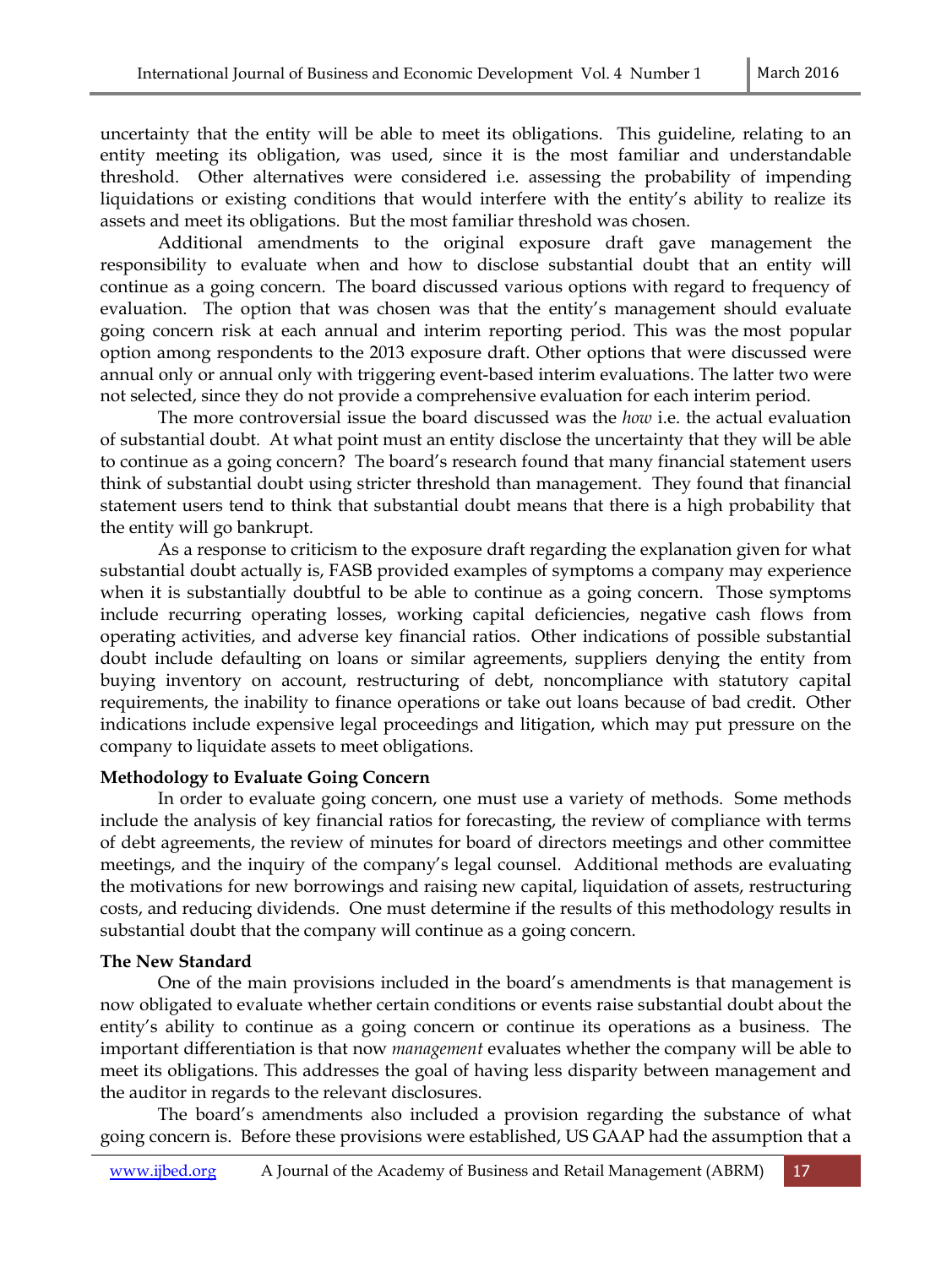uncertainty that the entity will be able to meet its obligations. This guideline, relating to an entity meeting its obligation, was used, since it is the most familiar and understandable threshold. Other alternatives were considered i.e. assessing the probability of impending liquidations or existing conditions that would interfere with the entity's ability to realize its assets and meet its obligations. But the most familiar threshold was chosen.

Additional amendments to the original exposure draft gave management the responsibility to evaluate when and how to disclose substantial doubt that an entity will continue as a going concern. The board discussed various options with regard to frequency of evaluation. The option that was chosen was that the entity's management should evaluate going concern risk at each annual and interim reporting period. This was the most popular option among respondents to the 2013 exposure draft. Other options that were discussed were annual only or annual only with triggering event-based interim evaluations. The latter two were not selected, since they do not provide a comprehensive evaluation for each interim period.

The more controversial issue the board discussed was the *how* i.e. the actual evaluation of substantial doubt. At what point must an entity disclose the uncertainty that they will be able to continue as a going concern? The board's research found that many financial statement users think of substantial doubt using stricter threshold than management. They found that financial statement users tend to think that substantial doubt means that there is a high probability that the entity will go bankrupt.

As a response to criticism to the exposure draft regarding the explanation given for what substantial doubt actually is, FASB provided examples of symptoms a company may experience when it is substantially doubtful to be able to continue as a going concern. Those symptoms include recurring operating losses, working capital deficiencies, negative cash flows from operating activities, and adverse key financial ratios. Other indications of possible substantial doubt include defaulting on loans or similar agreements, suppliers denying the entity from buying inventory on account, restructuring of debt, noncompliance with statutory capital requirements, the inability to finance operations or take out loans because of bad credit. Other indications include expensive legal proceedings and litigation, which may put pressure on the company to liquidate assets to meet obligations.

#### **Methodology to Evaluate Going Concern**

 In order to evaluate going concern, one must use a variety of methods. Some methods include the analysis of key financial ratios for forecasting, the review of compliance with terms of debt agreements, the review of minutes for board of directors meetings and other committee meetings, and the inquiry of the company's legal counsel. Additional methods are evaluating the motivations for new borrowings and raising new capital, liquidation of assets, restructuring costs, and reducing dividends. One must determine if the results of this methodology results in substantial doubt that the company will continue as a going concern.

### **The New Standard**

One of the main provisions included in the board's amendments is that management is now obligated to evaluate whether certain conditions or events raise substantial doubt about the entity's ability to continue as a going concern or continue its operations as a business. The important differentiation is that now *management* evaluates whether the company will be able to meet its obligations. This addresses the goal of having less disparity between management and the auditor in regards to the relevant disclosures.

The board's amendments also included a provision regarding the substance of what going concern is. Before these provisions were established, US GAAP had the assumption that a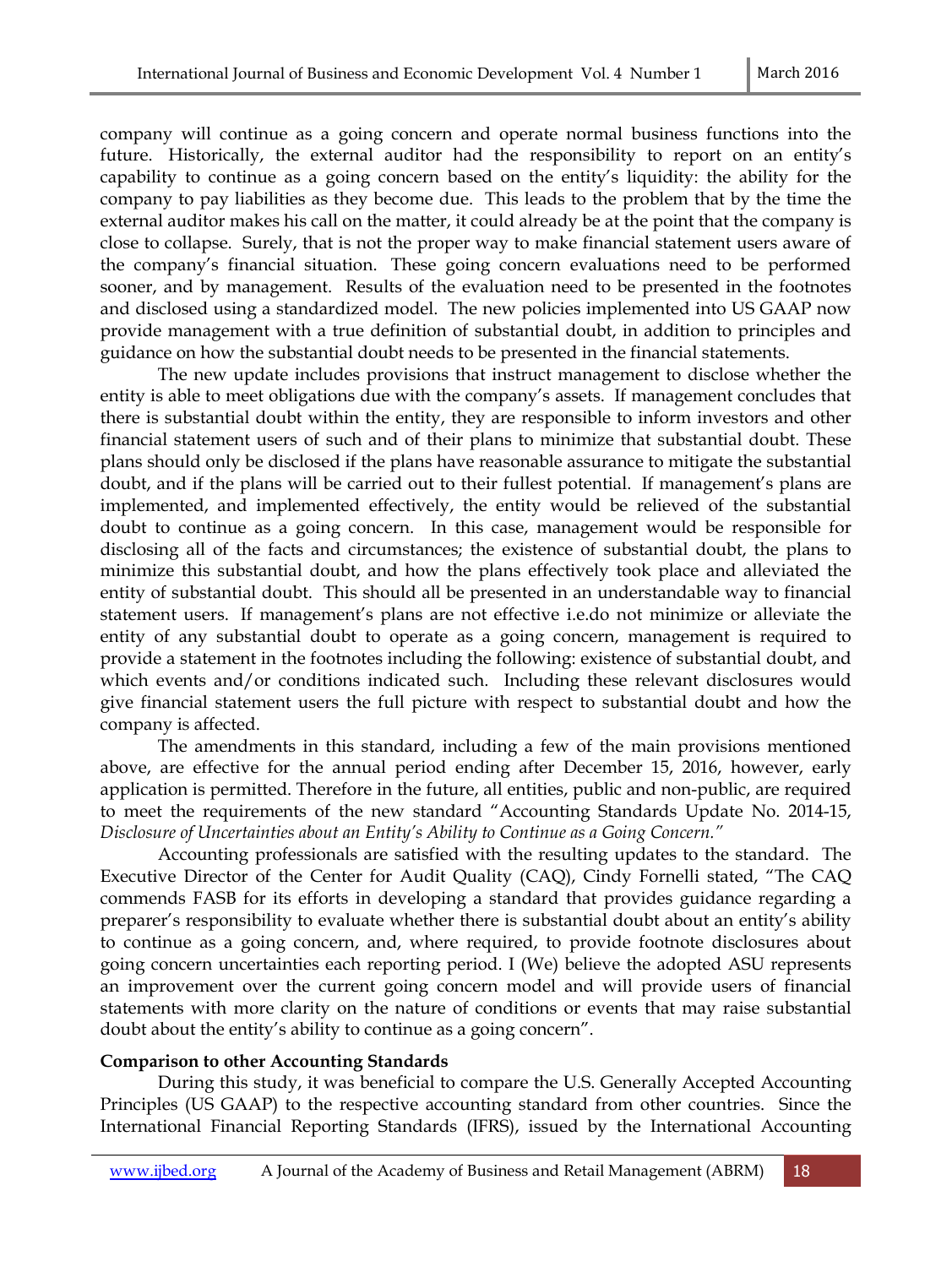company will continue as a going concern and operate normal business functions into the future. Historically, the external auditor had the responsibility to report on an entity's capability to continue as a going concern based on the entity's liquidity: the ability for the company to pay liabilities as they become due. This leads to the problem that by the time the external auditor makes his call on the matter, it could already be at the point that the company is close to collapse. Surely, that is not the proper way to make financial statement users aware of the company's financial situation. These going concern evaluations need to be performed sooner, and by management. Results of the evaluation need to be presented in the footnotes and disclosed using a standardized model. The new policies implemented into US GAAP now provide management with a true definition of substantial doubt, in addition to principles and guidance on how the substantial doubt needs to be presented in the financial statements.

The new update includes provisions that instruct management to disclose whether the entity is able to meet obligations due with the company's assets. If management concludes that there is substantial doubt within the entity, they are responsible to inform investors and other financial statement users of such and of their plans to minimize that substantial doubt. These plans should only be disclosed if the plans have reasonable assurance to mitigate the substantial doubt, and if the plans will be carried out to their fullest potential. If management's plans are implemented, and implemented effectively, the entity would be relieved of the substantial doubt to continue as a going concern. In this case, management would be responsible for disclosing all of the facts and circumstances; the existence of substantial doubt, the plans to minimize this substantial doubt, and how the plans effectively took place and alleviated the entity of substantial doubt. This should all be presented in an understandable way to financial statement users. If management's plans are not effective i.e.do not minimize or alleviate the entity of any substantial doubt to operate as a going concern, management is required to provide a statement in the footnotes including the following: existence of substantial doubt, and which events and/or conditions indicated such. Including these relevant disclosures would give financial statement users the full picture with respect to substantial doubt and how the company is affected.

The amendments in this standard, including a few of the main provisions mentioned above, are effective for the annual period ending after December 15, 2016, however, early application is permitted. Therefore in the future, all entities, public and non-public, are required to meet the requirements of the new standard "Accounting Standards Update No. 2014-15, *Disclosure of Uncertainties about an Entity's Ability to Continue as a Going Concern."* 

Accounting professionals are satisfied with the resulting updates to the standard. The Executive Director of the Center for Audit Quality (CAQ), Cindy Fornelli stated, "The CAQ commends FASB for its efforts in developing a standard that provides guidance regarding a preparer's responsibility to evaluate whether there is substantial doubt about an entity's ability to continue as a going concern, and, where required, to provide footnote disclosures about going concern uncertainties each reporting period. I (We) believe the adopted ASU represents an improvement over the current going concern model and will provide users of financial statements with more clarity on the nature of conditions or events that may raise substantial doubt about the entity's ability to continue as a going concern".

#### **Comparison to other Accounting Standards**

 During this study, it was beneficial to compare the U.S. Generally Accepted Accounting Principles (US GAAP) to the respective accounting standard from other countries. Since the International Financial Reporting Standards (IFRS), issued by the International Accounting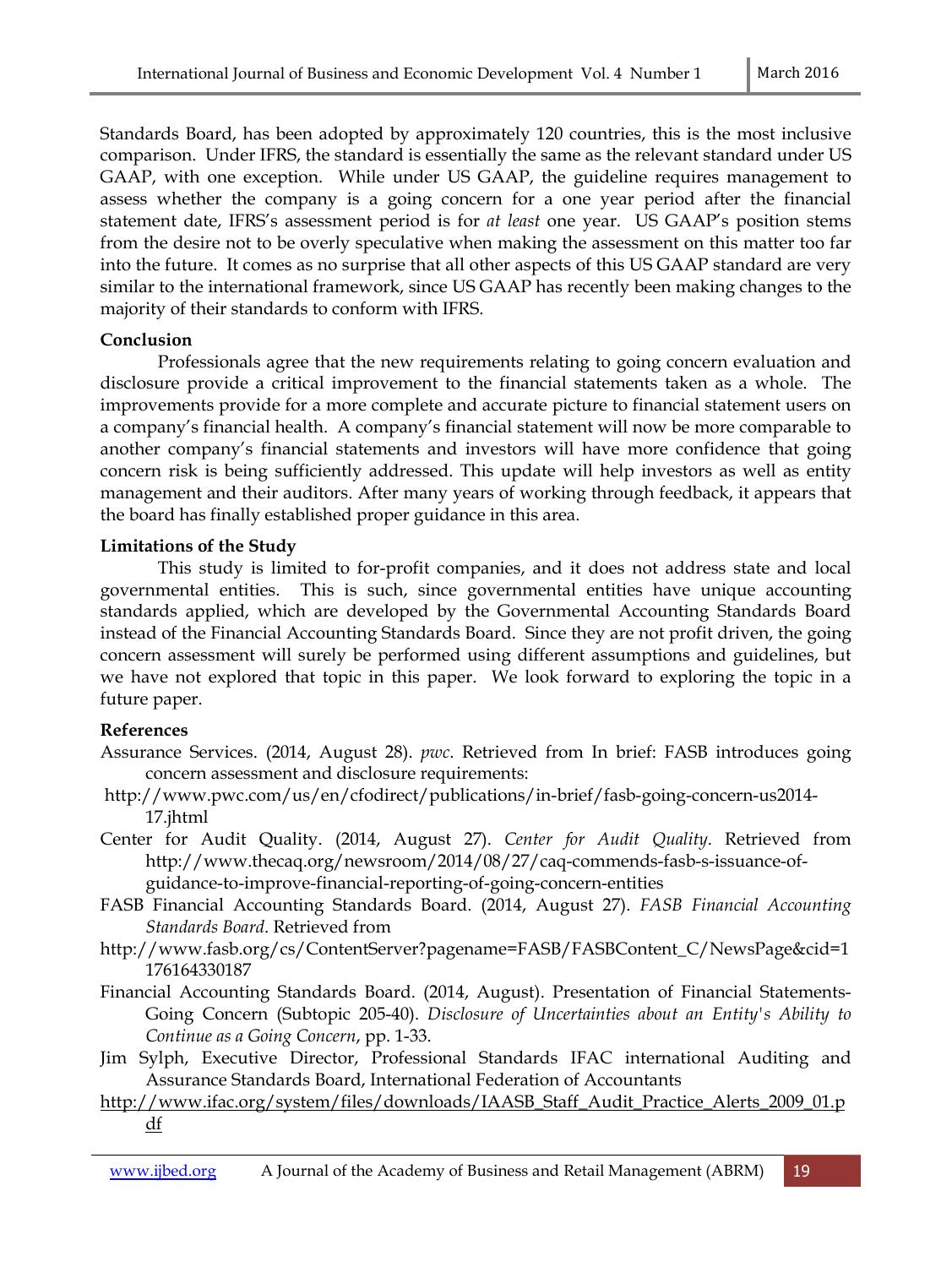Standards Board, has been adopted by approximately 120 countries, this is the most inclusive comparison. Under IFRS, the standard is essentially the same as the relevant standard under US GAAP, with one exception. While under US GAAP, the guideline requires management to assess whether the company is a going concern for a one year period after the financial statement date, IFRS's assessment period is for *at least* one year. US GAAP's position stems from the desire not to be overly speculative when making the assessment on this matter too far into the future. It comes as no surprise that all other aspects of this US GAAP standard are very similar to the international framework, since US GAAP has recently been making changes to the majority of their standards to conform with IFRS.

# **Conclusion**

Professionals agree that the new requirements relating to going concern evaluation and disclosure provide a critical improvement to the financial statements taken as a whole. The improvements provide for a more complete and accurate picture to financial statement users on a company's financial health. A company's financial statement will now be more comparable to another company's financial statements and investors will have more confidence that going concern risk is being sufficiently addressed. This update will help investors as well as entity management and their auditors. After many years of working through feedback, it appears that the board has finally established proper guidance in this area.

# **Limitations of the Study**

 This study is limited to for-profit companies, and it does not address state and local governmental entities. This is such, since governmental entities have unique accounting standards applied, which are developed by the Governmental Accounting Standards Board instead of the Financial Accounting Standards Board. Since they are not profit driven, the going concern assessment will surely be performed using different assumptions and guidelines, but we have not explored that topic in this paper. We look forward to exploring the topic in a future paper.

# **References**

- Assurance Services. (2014, August 28). *pwc*. Retrieved from In brief: FASB introduces going concern assessment and disclosure requirements:
- http://www.pwc.com/us/en/cfodirect/publications/in-brief/fasb-going-concern-us2014- 17.jhtml
- Center for Audit Quality. (2014, August 27). *Center for Audit Quality*. Retrieved from http://www.thecaq.org/newsroom/2014/08/27/caq-commends-fasb-s-issuance-ofguidance-to-improve-financial-reporting-of-going-concern-entities
- FASB Financial Accounting Standards Board. (2014, August 27). *FASB Financial Accounting Standards Board*. Retrieved from
- http://www.fasb.org/cs/ContentServer?pagename=FASB/FASBContent\_C/NewsPage&cid=1 176164330187
- Financial Accounting Standards Board. (2014, August). Presentation of Financial Statements-Going Concern (Subtopic 205-40). *Disclosure of Uncertainties about an Entity's Ability to Continue as a Going Concern*, pp. 1-33.
- Jim Sylph, Executive Director, Professional Standards IFAC international Auditing and Assurance Standards Board, International Federation of Accountants
- http://www.ifac.org/system/files/downloads/IAASB\_Staff\_Audit\_Practice\_Alerts\_2009\_01.p df